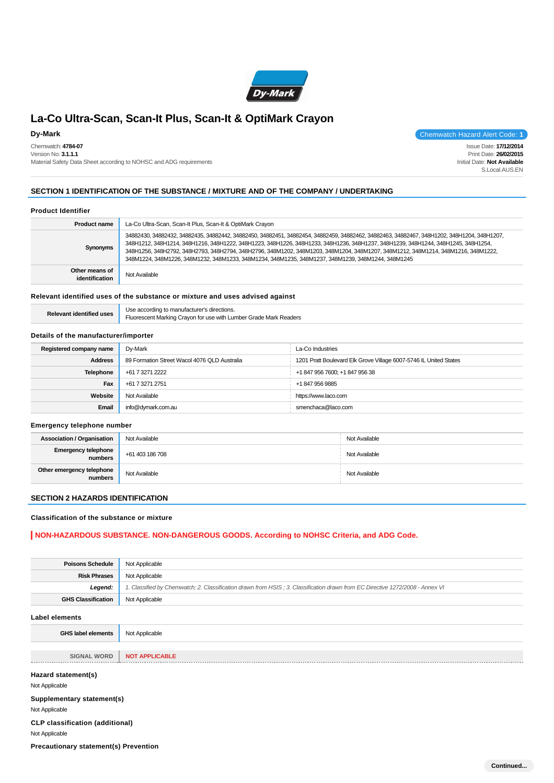

Chemwatch: **4784-07**

Version No: **3.1.1.1** Material Safety Data Sheet according to NOHSC and ADG requirements

**Dy-Mark** Chemwatch Hazard Alert Code: 1 Issue Date: **17/12/2014**

Print Date: **26/02/2015** Initial Date: **Not Available** S.Local.AUS.EN

#### **SECTION 1 IDENTIFICATION OF THE SUBSTANCE / MIXTURE AND OF THE COMPANY / UNDERTAKING**

#### **Product Identifier**

| <b>Product name</b>              | La-Co Ultra-Scan, Scan-It Plus, Scan-It & OptiMark Crayon                                                                                                                                                                                                                                                                                                                                                                                                                                                                   |  |
|----------------------------------|-----------------------------------------------------------------------------------------------------------------------------------------------------------------------------------------------------------------------------------------------------------------------------------------------------------------------------------------------------------------------------------------------------------------------------------------------------------------------------------------------------------------------------|--|
| Synonyms                         | 34882430, 34882432, 34882435, 34882442, 34882450, 34882451, 34882454, 34882459, 34882462, 34882463, 34882467, 348H1202, 348H1204, 348H1207,<br>348H1212, 348H1214, 348H1216, 348H1222, 348H1223, 348H1226, 348H1233, 348H1236, 348H1237, 348H1239, 348H1244, 348H1245, 348H1254,<br>348H1256, 348H2792, 348H2793, 348H2794, 348H2796, 348M1202, 348M1203, 348M1204, 348M1207, 348M1212, 348M1214, 348M1216, 348M1222,<br>348M1224, 348M1226, 348M1232, 348M1233, 348M1234, 348M1235, 348M1237, 348M1239, 348M1244, 348M1245 |  |
| Other means of<br>identification | Not Available                                                                                                                                                                                                                                                                                                                                                                                                                                                                                                               |  |

#### **Relevant identified uses of the substance or mixture and uses advised against**

| Relevant identified uses | Use according to manufacturer's directions.<br>Fluorescent Marking Crayon for use with Lumber Grade Mark Readers |
|--------------------------|------------------------------------------------------------------------------------------------------------------|
|--------------------------|------------------------------------------------------------------------------------------------------------------|

#### **Details of the manufacturer/importer**

| Registered company name | Dv-Mark                                      | La-Co Industries                                                  |
|-------------------------|----------------------------------------------|-------------------------------------------------------------------|
| <b>Address</b>          | 89 Formation Street Wacol 4076 QLD Australia | 1201 Pratt Boulevard Elk Grove Village 6007-5746 IL United States |
| <b>Telephone</b>        | +61 7 3271 2222                              | +1 847 956 7600; +1 847 956 38                                    |
| Fax                     | +61 7 3271 2751                              | +1 847 956 9885                                                   |
| Website                 | Not Available                                | https://www.laco.com                                              |
| Email                   | info@dymark.com.au                           | smenchaca@laco.com                                                |

#### **Emergency telephone number**

| <b>Association / Organisation</b>      | Not Available   | Not Available |
|----------------------------------------|-----------------|---------------|
| <b>Emergency telephone</b><br>numbers. | +61 403 186 708 | Not Available |
| Other emergency telephone<br>numbers   | Not Available   | Not Available |

#### **SECTION 2 HAZARDS IDENTIFICATION**

#### **Classification of the substance or mixture**

# **NON-HAZARDOUS SUBSTANCE. NON-DANGEROUS GOODS. According to NOHSC Criteria, and ADG Code.**

| <b>Poisons Schedule</b>                      | Not Applicable                                                                                                                |  |
|----------------------------------------------|-------------------------------------------------------------------------------------------------------------------------------|--|
| <b>Risk Phrases</b>                          | Not Applicable                                                                                                                |  |
| Legend:                                      | 1. Classified by Chemwatch; 2. Classification drawn from HSIS; 3. Classification drawn from EC Directive 1272/2008 - Annex VI |  |
| <b>GHS Classification</b>                    | Not Applicable                                                                                                                |  |
| <b>Label elements</b>                        |                                                                                                                               |  |
| <b>GHS label elements</b>                    | Not Applicable                                                                                                                |  |
| <b>SIGNAL WORD</b>                           | <b>NOT APPLICABLE</b>                                                                                                         |  |
| Hazard statement(s)<br>Not Applicable        |                                                                                                                               |  |
| Supplementary statement(s)<br>Not Applicable |                                                                                                                               |  |
| ALB alasaification (additional)              |                                                                                                                               |  |

**CLP classification (additional)** Not Applicable

**Precautionary statement(s) Prevention**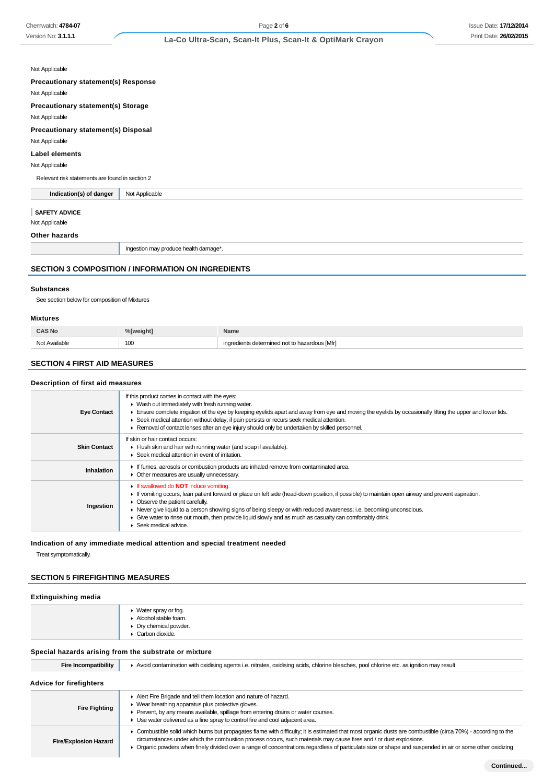| Not Applicable                                  |                                       |  |  |
|-------------------------------------------------|---------------------------------------|--|--|
|                                                 | Precautionary statement(s) Response   |  |  |
| Not Applicable                                  |                                       |  |  |
| <b>Precautionary statement(s) Storage</b>       |                                       |  |  |
| Not Applicable                                  |                                       |  |  |
| <b>Precautionary statement(s) Disposal</b>      |                                       |  |  |
| Not Applicable                                  |                                       |  |  |
| <b>Label elements</b>                           |                                       |  |  |
| Not Applicable                                  |                                       |  |  |
| Relevant risk statements are found in section 2 |                                       |  |  |
| Indication(s) of danger                         | Not Applicable                        |  |  |
| <b>SAFETY ADVICE</b>                            |                                       |  |  |
| Not Applicable                                  |                                       |  |  |
| Other hazards                                   |                                       |  |  |
|                                                 | Ingestion may produce health damage*. |  |  |
|                                                 |                                       |  |  |

#### **SECTION 3 COMPOSITION / INFORMATION ON INGREDIENTS**

#### **Substances**

See section below for composition of Mixtures

#### **Mixtures**

|   | $21$ Final  | Name        |
|---|-------------|-------------|
| . | 100<br>$ -$ | <b>Mfrl</b> |

# **SECTION 4 FIRST AID MEASURES**

#### **Description of first aid measures**

| <b>Eye Contact</b>  | If this product comes in contact with the eyes:<br>▶ Wash out immediately with fresh running water.<br>Ensure complete irrigation of the eye by keeping eyelids apart and away from eye and moving the eyelids by occasionally lifting the upper and lower lids.<br>▶ Seek medical attention without delay; if pain persists or recurs seek medical attention.<br>▶ Removal of contact lenses after an eye injury should only be undertaken by skilled personnel.                                                    |
|---------------------|----------------------------------------------------------------------------------------------------------------------------------------------------------------------------------------------------------------------------------------------------------------------------------------------------------------------------------------------------------------------------------------------------------------------------------------------------------------------------------------------------------------------|
| <b>Skin Contact</b> | If skin or hair contact occurs:<br>Flush skin and hair with running water (and soap if available).<br>▶ Seek medical attention in event of irritation.                                                                                                                                                                                                                                                                                                                                                               |
| Inhalation          | If fumes, aerosols or combustion products are inhaled remove from contaminated area.<br>• Other measures are usually unnecessary.                                                                                                                                                                                                                                                                                                                                                                                    |
| Ingestion           | If swallowed do <b>NOT</b> induce vomiting.<br>If vomiting occurs, lean patient forward or place on left side (head-down position, if possible) to maintain open airway and prevent aspiration.<br>• Observe the patient carefully.<br>► Never give liquid to a person showing signs of being sleepy or with reduced awareness; i.e. becoming unconscious.<br>Give water to rinse out mouth, then provide liquid slowly and as much as casualty can comfortably drink.<br>$\blacktriangleright$ Seek medical advice. |

**Indication of any immediate medical attention and special treatment needed** Treat symptomatically.

# **SECTION 5 FIREFIGHTING MEASURES**

#### **Extinguishing media**

|                                                       | ▶ Water spray or fog.<br>Alcohol stable foam.<br>Dry chemical powder.<br>Carbon dioxide.                                               |  |
|-------------------------------------------------------|----------------------------------------------------------------------------------------------------------------------------------------|--|
| Special hazards arising from the substrate or mixture |                                                                                                                                        |  |
| <b>Fire Incompatibility</b>                           | Avoid contamination with oxidising agents i.e. nitrates, oxidising acids, chlorine bleaches, pool chlorine etc. as ignition may result |  |
|                                                       |                                                                                                                                        |  |

| <b>Advice for firefighters</b> |                                                                                                                                                                                                                                                                                                                                                                                                                                                |  |
|--------------------------------|------------------------------------------------------------------------------------------------------------------------------------------------------------------------------------------------------------------------------------------------------------------------------------------------------------------------------------------------------------------------------------------------------------------------------------------------|--|
| <b>Fire Fighting</b>           | Alert Fire Brigade and tell them location and nature of hazard.<br>▶ Wear breathing apparatus plus protective gloves.<br>Prevent, by any means available, spillage from entering drains or water courses.<br>• Use water delivered as a fine spray to control fire and cool adjacent area.                                                                                                                                                     |  |
| <b>Fire/Explosion Hazard</b>   | • Combustible solid which burns but propagates flame with difficulty; it is estimated that most organic dusts are combustible (circa 70%) - according to the<br>circumstances under which the combustion process occurs, such materials may cause fires and / or dust explosions.<br>• Organic powders when finely divided over a range of concentrations regardless of particulate size or shape and suspended in air or some other oxidizing |  |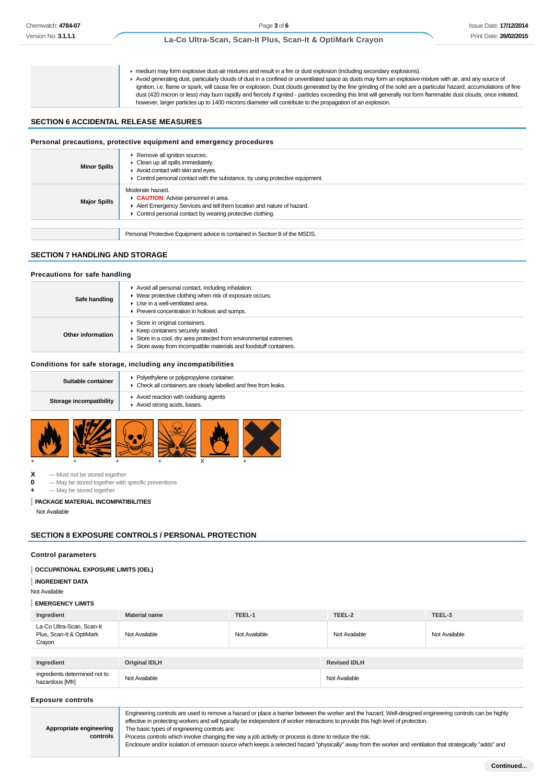medium may form explosive dust-air mixtures and result in a fire or dust explosion (including secondary explosions). Avoid generating dust, particularly clouds of dust in a confined or unventilated space as dusts may form an explosive mixture with air, and any source of ignition, i.e. flame or spark, will cause fire or explosion. Dust clouds generated by the fine grinding of the solid are a particular hazard; accumulations of fine dust (420 micron or less) may burn rapidly and fiercely if ignited - particles exceeding this limit will generally not form flammable dust clouds; once initiated, however, larger particles up to 1400 microns diameter will contribute to the propagation of an explosion.

#### **SECTION 6 ACCIDENTAL RELEASE MEASURES**

#### **Personal precautions, protective equipment and emergency procedures**

| <b>Minor Spills</b> | Remove all ignition sources.<br>• Clean up all spills immediately.<br>Avoid contact with skin and eyes.<br>• Control personal contact with the substance, by using protective equipment.      |
|---------------------|-----------------------------------------------------------------------------------------------------------------------------------------------------------------------------------------------|
| <b>Major Spills</b> | Moderate hazard.<br>CAUTION: Advise personnel in area.<br>Alert Emergency Services and tell them location and nature of hazard.<br>• Control personal contact by wearing protective clothing. |
|                     |                                                                                                                                                                                               |
|                     | Personal Protective Equipment advice is contained in Section 8 of the MSDS.                                                                                                                   |

#### **SECTION 7 HANDLING AND STORAGE**

#### **Precautions for safe handling** т Avoid all personal contact, including inhalation.

| Safe handling     | <b>Figure 6.</b> And all possorial contact, including inniquation.<br>• Wear protective clothing when risk of exposure occurs.<br>▶ Use in a well-ventilated area.<br>Prevent concentration in hollows and sumps. |
|-------------------|-------------------------------------------------------------------------------------------------------------------------------------------------------------------------------------------------------------------|
| Other information | Store in original containers.<br>▶ Keep containers securely sealed.<br>Store in a cool, dry area protected from environmental extremes.<br>Store away from incompatible materials and foodstuff containers.       |

#### **Conditions for safe storage, including any incompatibilities**

| Suitable container      | • Polyethylene or polypropylene container.<br>• Check all containers are clearly labelled and free from leaks. |
|-------------------------|----------------------------------------------------------------------------------------------------------------|
| Storage incompatibility | Avoid reaction with oxidising agents<br>Avoid strong acids, bases.                                             |
|                         |                                                                                                                |



 $\begin{array}{ccc} \mathbf{X} & -$  Must not be stored together<br>  $\mathbf{0} & -$  May be stored together with

**0** — May be stored together with specific preventions

 $-$  May be stored together

#### **PACKAGE MATERIAL INCOMPATIBILITIES**

Not Available

# **SECTION 8 EXPOSURE CONTROLS / PERSONAL PROTECTION**

#### **Control parameters**

#### **OCCUPATIONAL EXPOSURE LIMITS (OEL)**

# **INGREDIENT DATA**

Not Available

#### **EMERGENCY LIMITS**

| Ingredient                                                      | <b>Material name</b> | TEEL-1        | TEEL-2              | TEEL-3        |
|-----------------------------------------------------------------|----------------------|---------------|---------------------|---------------|
| La-Co Ultra-Scan, Scan-It<br>Plus, Scan-It & OptiMark<br>Crayon | Not Available        | Not Available | Not Available       | Not Available |
|                                                                 |                      |               |                     |               |
| Ingredient                                                      | <b>Original IDLH</b> |               | <b>Revised IDLH</b> |               |
| ingredients determined not to<br>hazardous [Mfr]                | Not Available        |               | Not Available       |               |

#### **Exposure controls**

|                         | Engineering controls are used to remove a hazard or place a barrier between the worker and the hazard. Well-designed engineering controls can be highly<br>effective in protecting workers and will typically be independent of worker interactions to provide this high level of protection. |
|-------------------------|-----------------------------------------------------------------------------------------------------------------------------------------------------------------------------------------------------------------------------------------------------------------------------------------------|
| Appropriate engineering | The basic types of engineering controls are:                                                                                                                                                                                                                                                  |
| controls                | Process controls which involve changing the way a job activity or process is done to reduce the risk.                                                                                                                                                                                         |
|                         | Enclosure and/or isolation of emission source which keeps a selected hazard "physically" away from the worker and ventilation that strategically "adds" and                                                                                                                                   |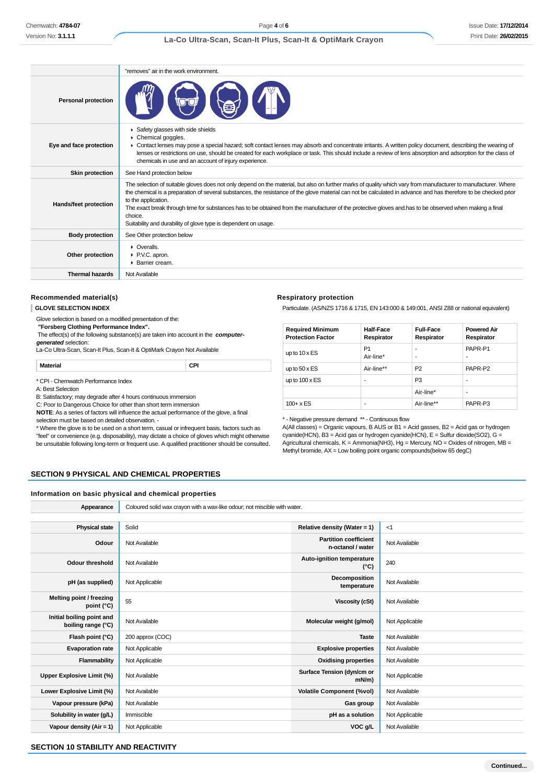|                            | "removes" air in the work environment.                                                                                                                                                                                                                                                                                                                                                                                                                                                                                                                                                               |
|----------------------------|------------------------------------------------------------------------------------------------------------------------------------------------------------------------------------------------------------------------------------------------------------------------------------------------------------------------------------------------------------------------------------------------------------------------------------------------------------------------------------------------------------------------------------------------------------------------------------------------------|
| <b>Personal protection</b> |                                                                                                                                                                                                                                                                                                                                                                                                                                                                                                                                                                                                      |
| Eye and face protection    | Safety glasses with side shields<br>Chemical goggles.<br>Contact lenses may pose a special hazard; soft contact lenses may absorb and concentrate irritants. A written policy document, describing the wearing of<br>lenses or restrictions on use, should be created for each workplace or task. This should include a review of lens absorption and adsorption for the class of<br>chemicals in use and an account of injury experience.                                                                                                                                                           |
| <b>Skin protection</b>     | See Hand protection below                                                                                                                                                                                                                                                                                                                                                                                                                                                                                                                                                                            |
| Hands/feet protection      | The selection of suitable gloves does not only depend on the material, but also on further marks of quality which vary from manufacturer to manufacturer. Where<br>the chemical is a preparation of several substances, the resistance of the glove material can not be calculated in advance and has therefore to be checked prior<br>to the application.<br>The exact break through time for substances has to be obtained from the manufacturer of the protective gloves and has to be observed when making a final<br>choice.<br>Suitability and durability of glove type is dependent on usage. |
| <b>Body protection</b>     | See Other protection below                                                                                                                                                                                                                                                                                                                                                                                                                                                                                                                                                                           |
| Other protection           | • Overalls.<br>P.V.C. apron.<br><b>Barrier cream.</b>                                                                                                                                                                                                                                                                                                                                                                                                                                                                                                                                                |
| <b>Thermal hazards</b>     | Not Available                                                                                                                                                                                                                                                                                                                                                                                                                                                                                                                                                                                        |

#### **Recommended material(s)**

**GLOVE SELECTION INDEX**

| Glove selection is based on a modified presentation of the:                                                 |  |
|-------------------------------------------------------------------------------------------------------------|--|
| "Forsberg Clothing Performance Index".                                                                      |  |
| The effect(s) of the following substance(s) are taken into account in the computer-<br>generated selection: |  |
| La-Co Ultra-Scan, Scan-It Plus, Scan-It & OptiMark Cravon Not Available                                     |  |

| Material | CPI |
|----------|-----|
|----------|-----|

\* CPI - Chemwatch Performance Index

A: Best Selection

B: Satisfactory; may degrade after 4 hours continuous immersion

C: Poor to Dangerous Choice for other than short term immersion

**NOTE**: As a series of factors will influence the actual performance of the glove, a final selection must be based on detailed observation. -

\* Where the glove is to be used on a short term, casual or infrequent basis, factors such as

"feel" or convenience (e.g. disposability), may dictate a choice of gloves which might otherwise be unsuitable following long-term or frequent use. A qualified practitioner should be consulted.

#### **Respiratory protection**

Particulate. (AS/NZS 1716 & 1715, EN 143:000 & 149:001, ANSI Z88 or national equivalent)

| <b>Required Minimum</b><br><b>Protection Factor</b> | <b>Half-Face</b><br>Respirator | <b>Full-Face</b><br>Respirator | <b>Powered Air</b><br>Respirator |
|-----------------------------------------------------|--------------------------------|--------------------------------|----------------------------------|
| up to $10 \times ES$                                | P <sub>1</sub><br>Air-line*    | ۰<br>۰                         | PAPR-P1<br>۰                     |
| up to $50 \times ES$                                | Air-line**                     | P <sub>2</sub>                 | PAPR-P2                          |
| up to $100 \times ES$                               | ٠                              | P <sub>3</sub>                 | ۰                                |
|                                                     |                                | Air-line*                      | ۰                                |
| $100 + x ES$                                        | -                              | Air-line**                     | PAPR-P3                          |

#### \* - Negative pressure demand \*\* - Continuous flow

A(All classes) = Organic vapours, B AUS or B1 = Acid gasses, B2 = Acid gas or hydrogen cyanide(HCN), B3 = Acid gas or hydrogen cyanide(HCN), E = Sulfur dioxide(SO2), G = Agricultural chemicals, K = Ammonia(NH3), Hg = Mercury, NO = Oxides of nitrogen, MB = Methyl bromide, AX = Low boiling point organic compounds(below 65 degC)

## **SECTION 9 PHYSICAL AND CHEMICAL PROPERTIES**

#### **Information on basic physical and chemical properties**

| Appearance                                      | Coloured solid wax crayon with a wax-like odour; not miscible with water. |                                                   |                |
|-------------------------------------------------|---------------------------------------------------------------------------|---------------------------------------------------|----------------|
|                                                 |                                                                           |                                                   |                |
| <b>Physical state</b>                           | Solid                                                                     | Relative density (Water = 1)                      | $<$ 1          |
| Odour                                           | Not Available                                                             | <b>Partition coefficient</b><br>n-octanol / water | Not Available  |
| <b>Odour threshold</b>                          | Not Available                                                             | Auto-ignition temperature<br>$(^{\circ}C)$        | 240            |
| pH (as supplied)                                | Not Applicable                                                            | Decomposition<br>temperature                      | Not Available  |
| Melting point / freezing<br>point (°C)          | 55                                                                        | <b>Viscosity (cSt)</b>                            | Not Available  |
| Initial boiling point and<br>boiling range (°C) | Not Available                                                             | Molecular weight (g/mol)                          | Not Applicable |
| Flash point (°C)                                | 200 approx (COC)                                                          | <b>Taste</b>                                      | Not Available  |
| <b>Evaporation rate</b>                         | Not Applicable                                                            | <b>Explosive properties</b>                       | Not Available  |
| Flammability                                    | Not Applicable                                                            | <b>Oxidising properties</b>                       | Not Available  |
| Upper Explosive Limit (%)                       | Not Available                                                             | Surface Tension (dyn/cm or<br>mN/m                | Not Applicable |
| Lower Explosive Limit (%)                       | Not Available                                                             | <b>Volatile Component (%vol)</b>                  | Not Available  |
| Vapour pressure (kPa)                           | Not Available                                                             | Gas group                                         | Not Available  |
| Solubility in water (g/L)                       | Immiscible                                                                | pH as a solution                                  | Not Applicable |
| Vapour density (Air = 1)                        | Not Applicable                                                            | VOC g/L                                           | Not Available  |

## **SECTION 10 STABILITY AND REACTIVITY**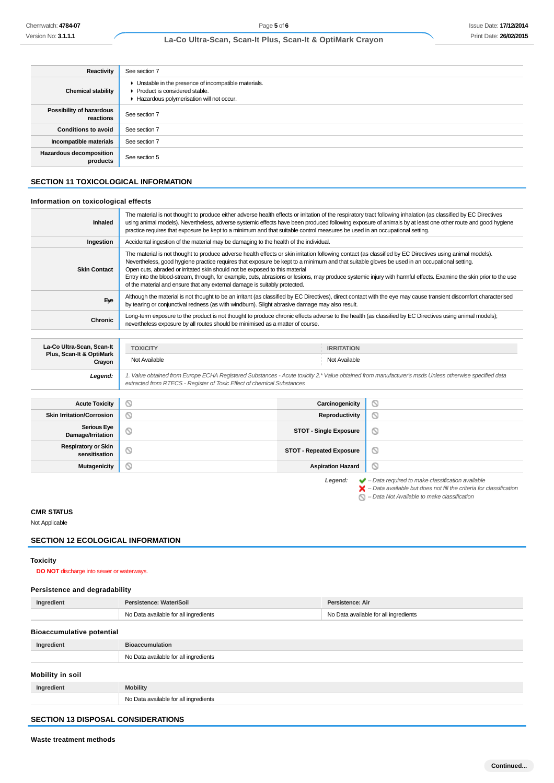| Reactivity                                 | See section 7                                                                                                                      |
|--------------------------------------------|------------------------------------------------------------------------------------------------------------------------------------|
| <b>Chemical stability</b>                  | • Unstable in the presence of incompatible materials.<br>Product is considered stable.<br>Hazardous polymerisation will not occur. |
| Possibility of hazardous<br>reactions      | See section 7                                                                                                                      |
| <b>Conditions to avoid</b>                 | See section 7                                                                                                                      |
| Incompatible materials                     | See section 7                                                                                                                      |
| <b>Hazardous decomposition</b><br>products | See section 5                                                                                                                      |

# **SECTION 11 TOXICOLOGICAL INFORMATION**

#### **Information on toxicological effects**

| Inhaled             | The material is not thought to produce either adverse health effects or irritation of the respiratory tract following inhalation (as classified by EC Directives<br>using animal models). Nevertheless, adverse systemic effects have been produced following exposure of animals by at least one other route and good hygiene<br>practice requires that exposure be kept to a minimum and that suitable control measures be used in an occupational setting.                                                                                                                                                                               |
|---------------------|---------------------------------------------------------------------------------------------------------------------------------------------------------------------------------------------------------------------------------------------------------------------------------------------------------------------------------------------------------------------------------------------------------------------------------------------------------------------------------------------------------------------------------------------------------------------------------------------------------------------------------------------|
| Ingestion           | Accidental ingestion of the material may be damaging to the health of the individual.                                                                                                                                                                                                                                                                                                                                                                                                                                                                                                                                                       |
| <b>Skin Contact</b> | The material is not thought to produce adverse health effects or skin irritation following contact (as classified by EC Directives using animal models).<br>Nevertheless, good hygiene practice requires that exposure be kept to a minimum and that suitable gloves be used in an occupational setting.<br>Open cuts, abraded or irritated skin should not be exposed to this material<br>Entry into the blood-stream, through, for example, cuts, abrasions or lesions, may produce systemic injury with harmful effects. Examine the skin prior to the use<br>of the material and ensure that any external damage is suitably protected. |
| Eye                 | Although the material is not thought to be an irritant (as classified by EC Directives), direct contact with the eye may cause transient discomfort characterised<br>by tearing or conjunctival redness (as with windburn). Slight abrasive damage may also result.                                                                                                                                                                                                                                                                                                                                                                         |
| Chronic             | Long-term exposure to the product is not thought to produce chronic effects adverse to the health (as classified by EC Directives using animal models);<br>nevertheless exposure by all routes should be minimised as a matter of course.                                                                                                                                                                                                                                                                                                                                                                                                   |

| La-Co Ultra-Scan, Scan-It          | <b>TOXICITY</b>                                                                                                                                                                                                                 | <b>IRRITATION</b> |
|------------------------------------|---------------------------------------------------------------------------------------------------------------------------------------------------------------------------------------------------------------------------------|-------------------|
| Plus, Scan-It & OptiMark<br>Cravon | Not Available                                                                                                                                                                                                                   | Not Available     |
| Legend:                            | 1. Value obtained from Europe ECHA Registered Substances - Acute toxicity 2.* Value obtained from manufacturer's msds Unless otherwise specified data<br>extracted from RTECS - Register of Toxic Effect of chemical Substances |                   |

| <b>Acute Toxicity</b>                       | ∾              | Carcinogenicity                 | $\circledcirc$ |
|---------------------------------------------|----------------|---------------------------------|----------------|
| <b>Skin Irritation/Corrosion</b>            | O              | Reproductivity                  | Q              |
| <b>Serious Eye</b><br>Damage/Irritation     | ∾              | <b>STOT - Single Exposure</b>   | $\circledcirc$ |
| <b>Respiratory or Skin</b><br>sensitisation | $\circledcirc$ | <b>STOT - Repeated Exposure</b> | O              |
| <b>Mutagenicity</b>                         | d              | <b>Aspiration Hazard</b>        | O              |
|                                             |                |                                 | .<br>.         |

**Legend:** – Data required to make classification available

- $\blacktriangleright$  Data available but does not fill the criteria for classification
- $\bigcirc$  Data Not Available to make classification

#### **CMR STATUS**

Not Applicable

## **SECTION 12 ECOLOGICAL INFORMATION**

#### **Toxicity**

#### **DO NOT** discharge into sewer or waterways.

#### **Persistence and degradability**

| Ingredient                       | Persistence: Water/Soil               | Persistence: Air                      |
|----------------------------------|---------------------------------------|---------------------------------------|
|                                  | No Data available for all ingredients | No Data available for all ingredients |
| <b>Bioaccumulative potential</b> |                                       |                                       |
| Ingredient                       | <b>Bioaccumulation</b>                |                                       |
|                                  | No Data available for all ingredients |                                       |
| Mobility in soil                 |                                       |                                       |
| Ingredient                       | <b>Mobility</b>                       |                                       |
|                                  | No Data available for all ingredients |                                       |
|                                  |                                       |                                       |

# **SECTION 13 DISPOSAL CONSIDERATIONS**